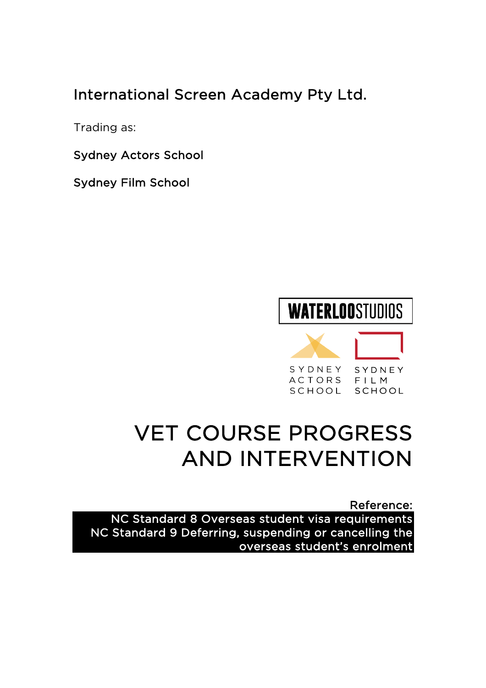# International Screen Academy Pty Ltd.

Trading as:

Sydney Actors School

Sydney Film School

# **WATERLOOSTUDIOS**

SYDNEY SYDNEY ACTORS FILM SCHOOL SCHOOL

# VET COURSE PROGRESS AND INTERVENTION

Reference: NC Standard 8 Overseas student visa requirements NC Standard 9 Deferring, suspending or cancelling the overseas student's enrolment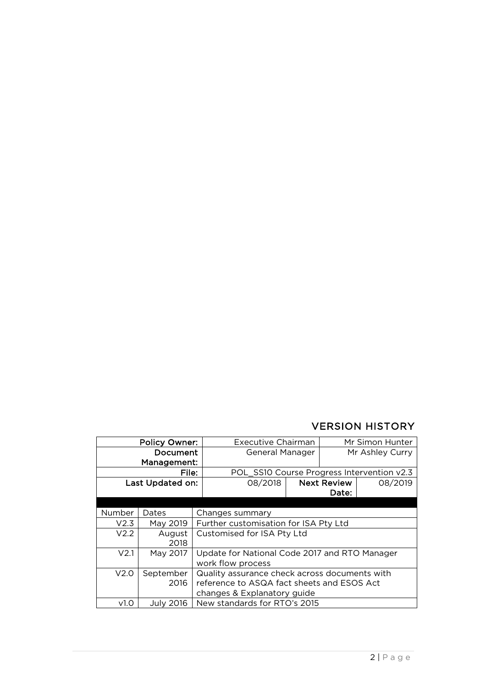### VERSION HISTORY

| <b>Policy Owner:</b>    |                   | <b>Executive Chairman</b>                                                                                                  |  | Mr Simon Hunter    |         |  |
|-------------------------|-------------------|----------------------------------------------------------------------------------------------------------------------------|--|--------------------|---------|--|
| Document<br>Management: |                   | General Manager                                                                                                            |  | Mr Ashley Curry    |         |  |
| File:                   |                   | POL_SS10 Course Progress Intervention v2.3                                                                                 |  |                    |         |  |
| Last Updated on:        |                   | 08/2018                                                                                                                    |  | <b>Next Review</b> | 08/2019 |  |
|                         |                   |                                                                                                                            |  |                    | Date:   |  |
|                         |                   |                                                                                                                            |  |                    |         |  |
| Number                  | Dates             | Changes summary                                                                                                            |  |                    |         |  |
| V2.3                    | May 2019          | Further customisation for ISA Pty Ltd                                                                                      |  |                    |         |  |
| V <sub>2.2</sub>        | August<br>2018    | Customised for ISA Pty Ltd                                                                                                 |  |                    |         |  |
| V <sub>2.1</sub>        | May 2017          | Update for National Code 2017 and RTO Manager<br>work flow process                                                         |  |                    |         |  |
| V2.0                    | September<br>2016 | Quality assurance check across documents with<br>reference to ASQA fact sheets and ESOS Act<br>changes & Explanatory guide |  |                    |         |  |
| v1.0                    | <b>July 2016</b>  | New standards for RTO's 2015                                                                                               |  |                    |         |  |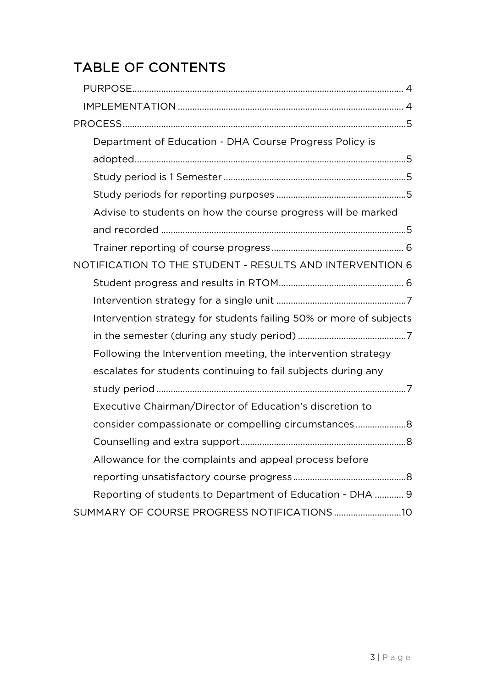# TABLE OF CONTENTS

| Department of Education - DHA Course Progress Policy is            |
|--------------------------------------------------------------------|
|                                                                    |
|                                                                    |
|                                                                    |
| Advise to students on how the course progress will be marked       |
|                                                                    |
|                                                                    |
| NOTIFICATION TO THE STUDENT - RESULTS AND INTERVENTION 6           |
|                                                                    |
|                                                                    |
| Intervention strategy for students failing 50% or more of subjects |
|                                                                    |
| Following the Intervention meeting, the intervention strategy      |
| escalates for students continuing to fail subjects during any      |
|                                                                    |
| Executive Chairman/Director of Education's discretion to           |
| consider compassionate or compelling circumstances                 |
|                                                                    |
| Allowance for the complaints and appeal process before             |
|                                                                    |
| Reporting of students to Department of Education - DHA  9          |
|                                                                    |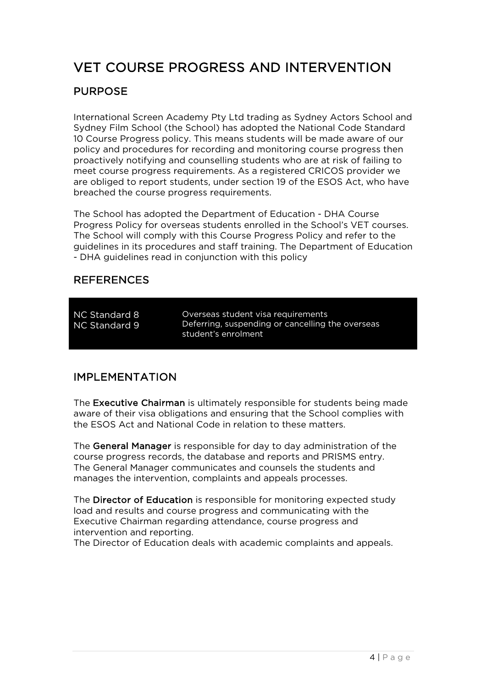# VET COURSE PROGRESS AND INTERVENTION

### PURPOSE

International Screen Academy Pty Ltd trading as Sydney Actors School and Sydney Film School (the School) has adopted the National Code Standard 10 Course Progress policy. This means students will be made aware of our policy and procedures for recording and monitoring course progress then proactively notifying and counselling students who are at risk of failing to meet course progress requirements. As a registered CRICOS provider we are obliged to report students, under section 19 of the ESOS Act, who have breached the course progress requirements.

The School has adopted the Department of Education - DHA Course Progress Policy for overseas students enrolled in the School's VET courses. The School will comply with this Course Progress Policy and refer to the guidelines in its procedures and staff training. The Department of Education - DHA guidelines read in conjunction with this policy

### REFERENCES

NC Standard 8 NC Standard 9

Overseas student visa requirements Deferring, suspending or cancelling the overseas student's enrolment

### IMPLEMENTATION

The Executive Chairman is ultimately responsible for students being made aware of their visa obligations and ensuring that the School complies with the ESOS Act and National Code in relation to these matters.

The General Manager is responsible for day to day administration of the course progress records, the database and reports and PRISMS entry. The General Manager communicates and counsels the students and manages the intervention, complaints and appeals processes.

The Director of Education is responsible for monitoring expected study load and results and course progress and communicating with the Executive Chairman regarding attendance, course progress and intervention and reporting.

The Director of Education deals with academic complaints and appeals.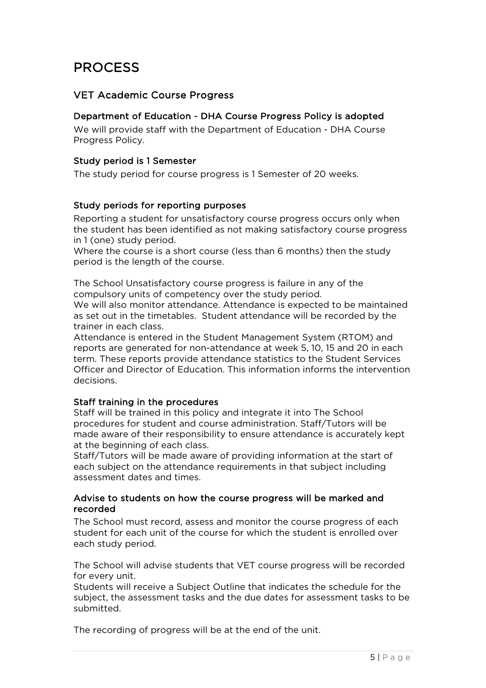# PROCESS

#### VET Academic Course Progress

#### Department of Education - DHA Course Progress Policy is adopted

We will provide staff with the Department of Education - DHA Course Progress Policy.

#### Study period is 1 Semester

The study period for course progress is 1 Semester of 20 weeks.

#### Study periods for reporting purposes

Reporting a student for unsatisfactory course progress occurs only when the student has been identified as not making satisfactory course progress in 1 (one) study period.

Where the course is a short course (less than 6 months) then the study period is the length of the course.

The School Unsatisfactory course progress is failure in any of the compulsory units of competency over the study period.

We will also monitor attendance. Attendance is expected to be maintained as set out in the timetables. Student attendance will be recorded by the trainer in each class.

Attendance is entered in the Student Management System (RTOM) and reports are generated for non-attendance at week 5, 10, 15 and 20 in each term. These reports provide attendance statistics to the Student Services Officer and Director of Education. This information informs the intervention decisions.

#### Staff training in the procedures

Staff will be trained in this policy and integrate it into The School procedures for student and course administration. Staff/Tutors will be made aware of their responsibility to ensure attendance is accurately kept at the beginning of each class.

Staff/Tutors will be made aware of providing information at the start of each subject on the attendance requirements in that subject including assessment dates and times.

#### Advise to students on how the course progress will be marked and recorded

The School must record, assess and monitor the course progress of each student for each unit of the course for which the student is enrolled over each study period.

The School will advise students that VET course progress will be recorded for every unit.

Students will receive a Subject Outline that indicates the schedule for the subject, the assessment tasks and the due dates for assessment tasks to be submitted.

The recording of progress will be at the end of the unit.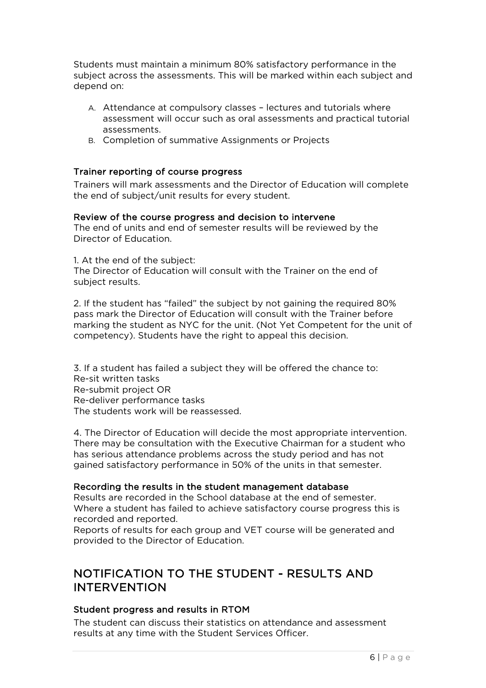Students must maintain a minimum 80% satisfactory performance in the subject across the assessments. This will be marked within each subject and depend on:

- A. Attendance at compulsory classes lectures and tutorials where assessment will occur such as oral assessments and practical tutorial assessments.
- B. Completion of summative Assignments or Projects

#### Trainer reporting of course progress

Trainers will mark assessments and the Director of Education will complete the end of subject/unit results for every student.

#### Review of the course progress and decision to intervene

The end of units and end of semester results will be reviewed by the Director of Education.

1. At the end of the subject:

The Director of Education will consult with the Trainer on the end of subject results.

2. If the student has "failed" the subject by not gaining the required 80% pass mark the Director of Education will consult with the Trainer before marking the student as NYC for the unit. (Not Yet Competent for the unit of competency). Students have the right to appeal this decision.

3. If a student has failed a subject they will be offered the chance to: Re-sit written tasks Re-submit project OR Re-deliver performance tasks The students work will be reassessed.

4. The Director of Education will decide the most appropriate intervention. There may be consultation with the Executive Chairman for a student who has serious attendance problems across the study period and has not gained satisfactory performance in 50% of the units in that semester.

#### Recording the results in the student management database

Results are recorded in the School database at the end of semester. Where a student has failed to achieve satisfactory course progress this is recorded and reported.

Reports of results for each group and VET course will be generated and provided to the Director of Education.

### NOTIFICATION TO THE STUDENT - RESULTS AND INTERVENTION

#### Student progress and results in RTOM

The student can discuss their statistics on attendance and assessment results at any time with the Student Services Officer.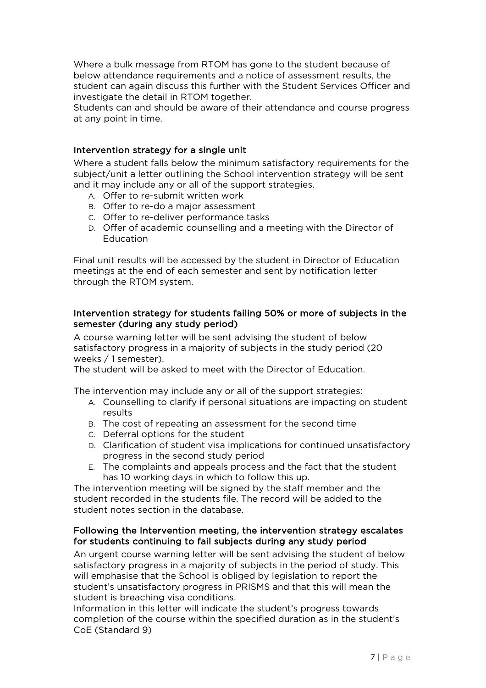Where a bulk message from RTOM has gone to the student because of below attendance requirements and a notice of assessment results, the student can again discuss this further with the Student Services Officer and investigate the detail in RTOM together.

Students can and should be aware of their attendance and course progress at any point in time.

#### Intervention strategy for a single unit

Where a student falls below the minimum satisfactory requirements for the subject/unit a letter outlining the School intervention strategy will be sent and it may include any or all of the support strategies.

- A. Offer to re-submit written work
- B. Offer to re-do a major assessment
- C. Offer to re-deliver performance tasks
- D. Offer of academic counselling and a meeting with the Director of **Education**

Final unit results will be accessed by the student in Director of Education meetings at the end of each semester and sent by notification letter through the RTOM system.

#### Intervention strategy for students failing 50% or more of subjects in the semester (during any study period)

A course warning letter will be sent advising the student of below satisfactory progress in a majority of subjects in the study period (20 weeks / 1 semester).

The student will be asked to meet with the Director of Education.

The intervention may include any or all of the support strategies:

- A. Counselling to clarify if personal situations are impacting on student results
- B. The cost of repeating an assessment for the second time
- C. Deferral options for the student
- D. Clarification of student visa implications for continued unsatisfactory progress in the second study period
- E. The complaints and appeals process and the fact that the student has 10 working days in which to follow this up.

The intervention meeting will be signed by the staff member and the student recorded in the students file. The record will be added to the student notes section in the database.

#### Following the Intervention meeting, the intervention strategy escalates for students continuing to fail subjects during any study period

An urgent course warning letter will be sent advising the student of below satisfactory progress in a majority of subjects in the period of study. This will emphasise that the School is obliged by legislation to report the student's unsatisfactory progress in PRISMS and that this will mean the student is breaching visa conditions.

Information in this letter will indicate the student's progress towards completion of the course within the specified duration as in the student's CoE (Standard 9)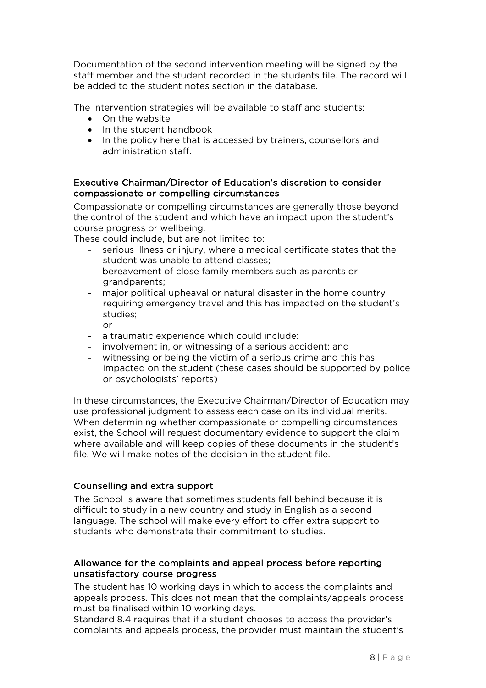Documentation of the second intervention meeting will be signed by the staff member and the student recorded in the students file. The record will be added to the student notes section in the database.

The intervention strategies will be available to staff and students:

- On the website
- In the student handbook
- In the policy here that is accessed by trainers, counsellors and administration staff.

#### Executive Chairman/Director of Education's discretion to consider compassionate or compelling circumstances

Compassionate or compelling circumstances are generally those beyond the control of the student and which have an impact upon the student's course progress or wellbeing.

These could include, but are not limited to:

- serious illness or injury, where a medical certificate states that the student was unable to attend classes;
- bereavement of close family members such as parents or grandparents;
- major political upheaval or natural disaster in the home country requiring emergency travel and this has impacted on the student's studies;
	- or
- a traumatic experience which could include:
- involvement in, or witnessing of a serious accident; and
- witnessing or being the victim of a serious crime and this has impacted on the student (these cases should be supported by police or psychologists' reports)

In these circumstances, the Executive Chairman/Director of Education may use professional judgment to assess each case on its individual merits. When determining whether compassionate or compelling circumstances exist, the School will request documentary evidence to support the claim where available and will keep copies of these documents in the student's file. We will make notes of the decision in the student file.

#### Counselling and extra support

The School is aware that sometimes students fall behind because it is difficult to study in a new country and study in English as a second language. The school will make every effort to offer extra support to students who demonstrate their commitment to studies.

#### Allowance for the complaints and appeal process before reporting unsatisfactory course progress

The student has 10 working days in which to access the complaints and appeals process. This does not mean that the complaints/appeals process must be finalised within 10 working days.

Standard 8.4 requires that if a student chooses to access the provider's complaints and appeals process, the provider must maintain the student's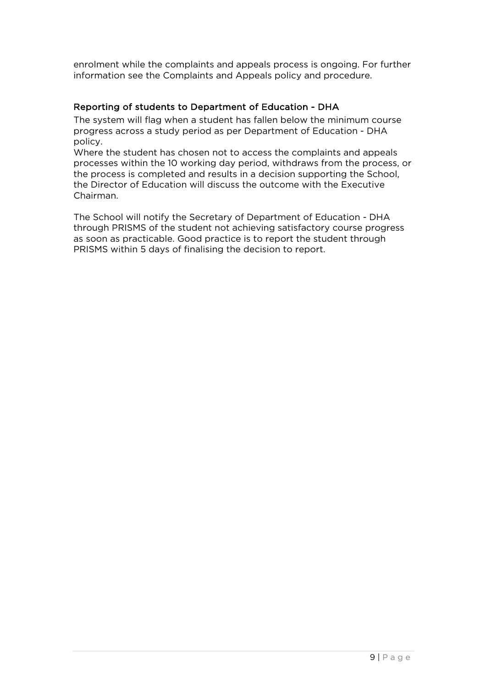enrolment while the complaints and appeals process is ongoing. For further information see the Complaints and Appeals policy and procedure.

#### Reporting of students to Department of Education - DHA

The system will flag when a student has fallen below the minimum course progress across a study period as per Department of Education - DHA policy.

Where the student has chosen not to access the complaints and appeals processes within the 10 working day period, withdraws from the process, or the process is completed and results in a decision supporting the School, the Director of Education will discuss the outcome with the Executive Chairman.

The School will notify the Secretary of Department of Education - DHA through PRISMS of the student not achieving satisfactory course progress as soon as practicable. Good practice is to report the student through PRISMS within 5 days of finalising the decision to report.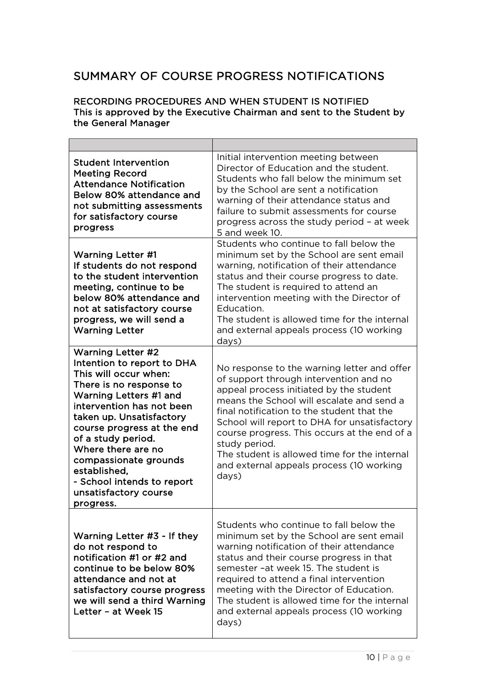## SUMMARY OF COURSE PROGRESS NOTIFICATIONS

#### RECORDING PROCEDURES AND WHEN STUDENT IS NOTIFIED This is approved by the Executive Chairman and sent to the Student by the General Manager

| <b>Student Intervention</b><br><b>Meeting Record</b><br><b>Attendance Notification</b><br>Below 80% attendance and<br>not submitting assessments<br>for satisfactory course<br>progress                                                                                                                                                                                              | Initial intervention meeting between<br>Director of Education and the student.<br>Students who fall below the minimum set<br>by the School are sent a notification<br>warning of their attendance status and<br>failure to submit assessments for course<br>progress across the study period - at week<br>5 and week 10.                                                                                                                          |
|--------------------------------------------------------------------------------------------------------------------------------------------------------------------------------------------------------------------------------------------------------------------------------------------------------------------------------------------------------------------------------------|---------------------------------------------------------------------------------------------------------------------------------------------------------------------------------------------------------------------------------------------------------------------------------------------------------------------------------------------------------------------------------------------------------------------------------------------------|
| <b>Warning Letter #1</b><br>If students do not respond<br>to the student intervention<br>meeting, continue to be<br>below 80% attendance and<br>not at satisfactory course<br>progress, we will send a<br><b>Warning Letter</b>                                                                                                                                                      | Students who continue to fall below the<br>minimum set by the School are sent email<br>warning, notification of their attendance<br>status and their course progress to date.<br>The student is required to attend an<br>intervention meeting with the Director of<br>Education.<br>The student is allowed time for the internal<br>and external appeals process (10 working<br>days)                                                             |
| <b>Warning Letter #2</b><br>Intention to report to DHA<br>This will occur when:<br>There is no response to<br>Warning Letters #1 and<br>intervention has not been<br>taken up. Unsatisfactory<br>course progress at the end<br>of a study period.<br>Where there are no<br>compassionate grounds<br>established,<br>- School intends to report<br>unsatisfactory course<br>progress. | No response to the warning letter and offer<br>of support through intervention and no<br>appeal process initiated by the student<br>means the School will escalate and send a<br>final notification to the student that the<br>School will report to DHA for unsatisfactory<br>course progress. This occurs at the end of a<br>study period.<br>The student is allowed time for the internal<br>and external appeals process (10 working<br>days) |
| Warning Letter #3 - If they<br>do not respond to<br>notification #1 or #2 and<br>continue to be below 80%<br>attendance and not at<br>satisfactory course progress<br>we will send a third Warning<br>Letter - at Week 15                                                                                                                                                            | Students who continue to fall below the<br>minimum set by the School are sent email<br>warning notification of their attendance<br>status and their course progress in that<br>semester -at week 15. The student is<br>required to attend a final intervention<br>meeting with the Director of Education.<br>The student is allowed time for the internal<br>and external appeals process (10 working<br>days)                                    |